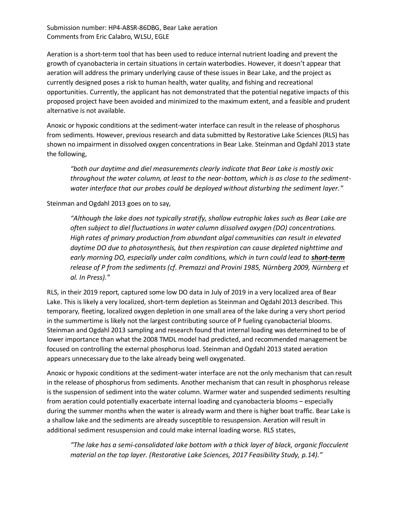Aeration is a short-term tool that has been used to reduce internal nutrient loading and prevent the growth of cyanobacteria in certain situations in certain waterbodies. However, it doesn't appear that aeration will address the primary underlying cause of these issues in Bear Lake, and the project as currently designed poses a risk to human health, water quality, and fishing and recreational opportunities. Currently, the applicant has not demonstrated that the potential negative impacts of this proposed project have been avoided and minimized to the maximum extent, and a feasible and prudent alternative is not available.

Anoxic or hypoxic conditions at the sediment-water interface can result in the release of phosphorus from sediments. However, previous research and data submitted by Restorative Lake Sciences (RLS) has shown no impairment in dissolved oxygen concentrations in Bear Lake. Steinman and Ogdahl 2013 state the following,

*"both our daytime and diel measurements clearly indicate that Bear Lake is mostly oxic throughout the water column, at least to the near-bottom, which is as close to the sedimentwater interface that our probes could be deployed without disturbing the sediment layer."* 

## Steinman and Ogdahl 2013 goes on to say,

*"Although the lake does not typically stratify, shallow eutrophic lakes such as Bear Lake are often subject to diel fluctuations in water column dissolved oxygen (DO) concentrations. High rates of primary production from abundant algal communities can result in elevated daytime DO due to photosynthesis, but then respiration can cause depleted nighttime and early morning DO, especially under calm conditions, which in turn could lead to short-term release of P from the sediments (cf. Premazzi and Provini 1985, Nürnberg 2009, Nürnberg et al. In Press)."* 

RLS, in their 2019 report, captured some low DO data in July of 2019 in a very localized area of Bear Lake. This is likely a very localized, short-term depletion as Steinman and Ogdahl 2013 described. This temporary, fleeting, localized oxygen depletion in one small area of the lake during a very short period in the summertime is likely not the largest contributing source of P fueling cyanobacterial blooms. Steinman and Ogdahl 2013 sampling and research found that internal loading was determined to be of lower importance than what the 2008 TMDL model had predicted, and recommended management be focused on controlling the external phosphorus load. Steinman and Ogdahl 2013 stated aeration appears unnecessary due to the lake already being well oxygenated.

Anoxic or hypoxic conditions at the sediment-water interface are not the only mechanism that can result in the release of phosphorus from sediments. Another mechanism that can result in phosphorus release is the suspension of sediment into the water column. Warmer water and suspended sediments resulting from aeration could potentially exacerbate internal loading and cyanobacteria blooms – especially during the summer months when the water is already warm and there is higher boat traffic. Bear Lake is a shallow lake and the sediments are already susceptible to resuspension. Aeration will result in additional sediment resuspension and could make internal loading worse. RLS states,

*"The lake has a semi-consolidated lake bottom with a thick layer of black, organic flocculent material on the top layer. (Restorative Lake Sciences, 2017 Feasibility Study, p.14)."*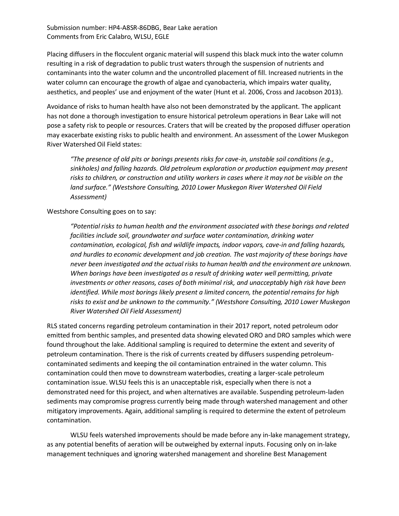Placing diffusers in the flocculent organic material will suspend this black muck into the water column resulting in a risk of degradation to public trust waters through the suspension of nutrients and contaminants into the water column and the uncontrolled placement of fill. Increased nutrients in the water column can encourage the growth of algae and cyanobacteria, which impairs water quality, aesthetics, and peoples' use and enjoyment of the water (Hunt et al. 2006, Cross and Jacobson 2013).

Avoidance of risks to human health have also not been demonstrated by the applicant. The applicant has not done a thorough investigation to ensure historical petroleum operations in Bear Lake will not pose a safety risk to people or resources. Craters that will be created by the proposed diffuser operation may exacerbate existing risks to public health and environment. An assessment of the Lower Muskegon River Watershed Oil Field states:

*"The presence of old pits or borings presents risks for cave-in, unstable soil conditions (e.g., sinkholes) and falling hazards. Old petroleum exploration or production equipment may present risks to children, or construction and utility workers in cases where it may not be visible on the land surface." (Westshore Consulting, 2010 Lower Muskegon River Watershed Oil Field Assessment)*

## Westshore Consulting goes on to say:

*"Potential risks to human health and the environment associated with these borings and related facilities include soil, groundwater and surface water contamination, drinking water contamination, ecological, fish and wildlife impacts, indoor vapors, cave-in and falling hazards, and hurdles to economic development and job creation. The vast majority of these borings have never been investigated and the actual risks to human health and the environment are unknown. When borings have been investigated as a result of drinking water well permitting, private investments or other reasons, cases of both minimal risk, and unacceptably high risk have been identified. While most borings likely present a limited concern, the potential remains for high risks to exist and be unknown to the community." (Westshore Consulting, 2010 Lower Muskegon River Watershed Oil Field Assessment)*

RLS stated concerns regarding petroleum contamination in their 2017 report, noted petroleum odor emitted from benthic samples, and presented data showing elevated ORO and DRO samples which were found throughout the lake. Additional sampling is required to determine the extent and severity of petroleum contamination. There is the risk of currents created by diffusers suspending petroleumcontaminated sediments and keeping the oil contamination entrained in the water column. This contamination could then move to downstream waterbodies, creating a larger-scale petroleum contamination issue. WLSU feels this is an unacceptable risk, especially when there is not a demonstrated need for this project, and when alternatives are available. Suspending petroleum-laden sediments may compromise progress currently being made through watershed management and other mitigatory improvements. Again, additional sampling is required to determine the extent of petroleum contamination.

WLSU feels watershed improvements should be made before any in-lake management strategy, as any potential benefits of aeration will be outweighed by external inputs. Focusing only on in-lake management techniques and ignoring watershed management and shoreline Best Management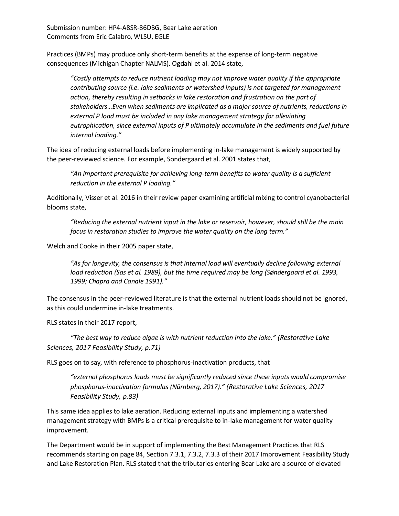Practices (BMPs) may produce only short-term benefits at the expense of long-term negative consequences (Michigan Chapter NALMS). Ogdahl et al. 2014 state,

*"Costly attempts to reduce nutrient loading may not improve water quality if the appropriate contributing source (i.e. lake sediments or watershed inputs) is not targeted for management action, thereby resulting in setbacks in lake restoration and frustration on the part of stakeholders…Even when sediments are implicated as a major source of nutrients, reductions in external P load must be included in any lake management strategy for alleviating eutrophication, since external inputs of P ultimately accumulate in the sediments and fuel future internal loading."*

The idea of reducing external loads before implementing in-lake management is widely supported by the peer-reviewed science. For example, Sondergaard et al. 2001 states that,

*"An important prerequisite for achieving long-term benefits to water quality is a sufficient reduction in the external P loading."*

Additionally, Visser et al. 2016 in their review paper examining artificial mixing to control cyanobacterial blooms state,

*"Reducing the external nutrient input in the lake or reservoir, however, should still be the main focus in restoration studies to improve the water quality on the long term."*

Welch and Cooke in their 2005 paper state,

*"As for longevity, the consensus is that internal load will eventually decline following external load reduction (Sas et al. 1989), but the time required may be long (Søndergaard et al. 1993, 1999; Chapra and Canale 1991)."*

The consensus in the peer-reviewed literature is that the external nutrient loads should not be ignored, as this could undermine in-lake treatments.

RLS states in their 2017 report,

*"The best way to reduce algae is with nutrient reduction into the lake." (Restorative Lake Sciences, 2017 Feasibility Study, p.71)*

RLS goes on to say, with reference to phosphorus-inactivation products, that

*"external phosphorus loads must be significantly reduced since these inputs would compromise phosphorus-inactivation formulas (Nürnberg, 2017)." (Restorative Lake Sciences, 2017 Feasibility Study, p.83)*

This same idea applies to lake aeration. Reducing external inputs and implementing a watershed management strategy with BMPs is a critical prerequisite to in-lake management for water quality improvement.

The Department would be in support of implementing the Best Management Practices that RLS recommends starting on page 84, Section 7.3.1, 7.3.2, 7.3.3 of their 2017 Improvement Feasibility Study and Lake Restoration Plan. RLS stated that the tributaries entering Bear Lake are a source of elevated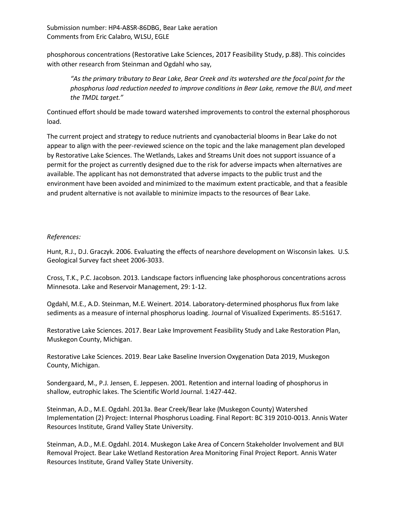phosphorous concentrations (Restorative Lake Sciences, 2017 Feasibility Study, p.88). This coincides with other research from Steinman and Ogdahl who say,

*"As the primary tributary to Bear Lake, Bear Creek and its watershed are the focal point for the phosphorus load reduction needed to improve conditions in Bear Lake, remove the BUI, and meet the TMDL target."*

Continued effort should be made toward watershed improvements to control the external phosphorous load.

The current project and strategy to reduce nutrients and cyanobacterial blooms in Bear Lake do not appear to align with the peer-reviewed science on the topic and the lake management plan developed by Restorative Lake Sciences. The Wetlands, Lakes and Streams Unit does not support issuance of a permit for the project as currently designed due to the risk for adverse impacts when alternatives are available. The applicant has not demonstrated that adverse impacts to the public trust and the environment have been avoided and minimized to the maximum extent practicable, and that a feasible and prudent alternative is not available to minimize impacts to the resources of Bear Lake.

## *References:*

Hunt, R.J., D.J. Graczyk. 2006. Evaluating the effects of nearshore development on Wisconsin lakes. U.S. Geological Survey fact sheet 2006-3033.

Cross, T.K., P.C. Jacobson. 2013. Landscape factors influencing lake phosphorous concentrations across Minnesota. Lake and Reservoir Management, 29: 1-12.

Ogdahl, M.E., A.D. Steinman, M.E. Weinert. 2014. Laboratory-determined phosphorus flux from lake sediments as a measure of internal phosphorus loading. Journal of Visualized Experiments. 85:51617.

Restorative Lake Sciences. 2017. Bear Lake Improvement Feasibility Study and Lake Restoration Plan, Muskegon County, Michigan.

Restorative Lake Sciences. 2019. Bear Lake Baseline Inversion Oxygenation Data 2019, Muskegon County, Michigan.

Sondergaard, M., P.J. Jensen, E. Jeppesen. 2001. Retention and internal loading of phosphorus in shallow, eutrophic lakes. The Scientific World Journal. 1:427-442.

Steinman, A.D., M.E. Ogdahl. 2013a. Bear Creek/Bear lake (Muskegon County) Watershed Implementation (2) Project: Internal Phosphorus Loading. Final Report: BC 319 2010-0013. Annis Water Resources Institute, Grand Valley State University.

Steinman, A.D., M.E. Ogdahl. 2014. Muskegon Lake Area of Concern Stakeholder Involvement and BUI Removal Project. Bear Lake Wetland Restoration Area Monitoring Final Project Report. Annis Water Resources Institute, Grand Valley State University.